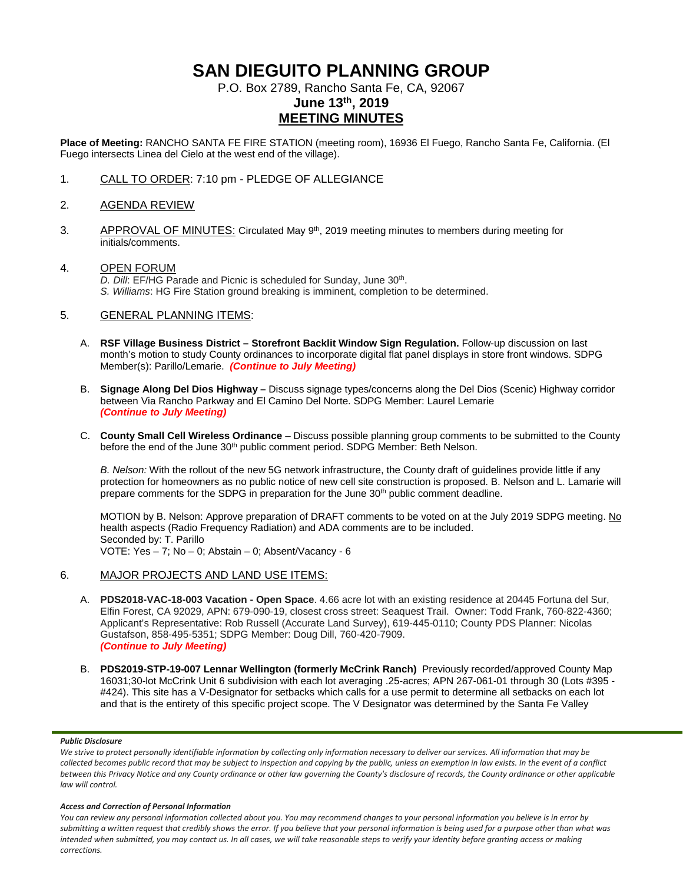# **SAN DIEGUITO PLANNING GROUP**

P.O. Box 2789, Rancho Santa Fe, CA, 92067

# **June 13th, 2019 MEETING MINUTES**

**Place of Meeting:** RANCHO SANTA FE FIRE STATION (meeting room), 16936 El Fuego, Rancho Santa Fe, California. (El Fuego intersects Linea del Cielo at the west end of the village).

1. CALL TO ORDER: 7:10 pm - PLEDGE OF ALLEGIANCE

# 2. AGENDA REVIEW

3. APPROVAL OF MINUTES: Circulated May 9<sup>th</sup>, 2019 meeting minutes to members during meeting for initials/comments.

# 4. OPEN FORUM

*D. Dill*: EF/HG Parade and Picnic is scheduled for Sunday, June 30th. *S. Williams*: HG Fire Station ground breaking is imminent, completion to be determined.

## 5. GENERAL PLANNING ITEMS:

- A. **RSF Village Business District – Storefront Backlit Window Sign Regulation.** Follow-up discussion on last month's motion to study County ordinances to incorporate digital flat panel displays in store front windows. SDPG Member(s): Parillo/Lemarie. *(Continue to July Meeting)*
- B. **Signage Along Del Dios Highway –** Discuss signage types/concerns along the Del Dios (Scenic) Highway corridor between Via Rancho Parkway and El Camino Del Norte. SDPG Member: Laurel Lemarie *(Continue to July Meeting)*
- C. **County Small Cell Wireless Ordinance** Discuss possible planning group comments to be submitted to the County before the end of the June 30<sup>th</sup> public comment period. SDPG Member: Beth Nelson.

*B. Nelson:* With the rollout of the new 5G network infrastructure, the County draft of guidelines provide little if any protection for homeowners as no public notice of new cell site construction is proposed. B. Nelson and L. Lamarie will prepare comments for the SDPG in preparation for the June 30<sup>th</sup> public comment deadline.

MOTION by B. Nelson: Approve preparation of DRAFT comments to be voted on at the July 2019 SDPG meeting. No health aspects (Radio Frequency Radiation) and ADA comments are to be included. Seconded by: T. Parillo VOTE: Yes – 7; No – 0; Abstain – 0; Absent/Vacancy - 6

# 6. MAJOR PROJECTS AND LAND USE ITEMS:

- A. **PDS2018-VAC-18-003 Vacation - Open Space**. 4.66 acre lot with an existing residence at 20445 Fortuna del Sur, Elfin Forest, CA 92029, APN: 679-090-19, closest cross street: Seaquest Trail. Owner: Todd Frank, 760-822-4360; Applicant's Representative: Rob Russell (Accurate Land Survey), 619-445-0110; County PDS Planner: Nicolas Gustafson, 858-495-5351; SDPG Member: Doug Dill, 760-420-7909. *(Continue to July Meeting)*
- B. **PDS2019-STP-19-007 Lennar Wellington (formerly McCrink Ranch)** Previously recorded/approved County Map 16031;30-lot McCrink Unit 6 subdivision with each lot averaging .25-acres; APN 267-061-01 through 30 (Lots #395 - #424). This site has a V-Designator for setbacks which calls for a use permit to determine all setbacks on each lot and that is the entirety of this specific project scope. The V Designator was determined by the Santa Fe Valley

#### *Public Disclosure*

We strive to protect personally identifiable information by collecting only information necessary to deliver our services. All information that may be *collected becomes public record that may be subject to inspection and copying by the public, unless an exemption in law exists. In the event of a conflict between this Privacy Notice and any County ordinance or other law governing the County's disclosure of records, the County ordinance or other applicable law will control.*

#### *Access and Correction of Personal Information*

*You can review any personal information collected about you. You may recommend changes to your personal information you believe is in error by submitting a written request that credibly shows the error. If you believe that your personal information is being used for a purpose other than what was intended when submitted, you may contact us. In all cases, we will take reasonable steps to verify your identity before granting access or making corrections.*